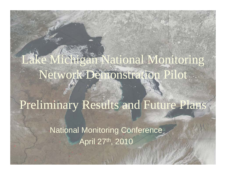# Lake Michigan National Monitoring Network Demonstration Pilot

## Preliminary Results and Future Plans

**National Monitoring Conference** April 27th, 2010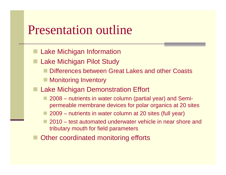## Presentation outline

- Lake Michigan Information
- Lake Michigan Pilot Study
	- Differences between Great Lakes and other Coasts
	- Monitoring Inventory
- **Lake Michigan Demonstration Effort** 
	- $\blacksquare$  2008  $-$ – nutrients in water column (partial year) and Semi $\,$  permeable membrane devices for polar organics at 20 sites
	- 2009 nutrients in water column at 20 sites (full year)
	- $\blacksquare$  2010 test automated underwater vehicle in near shore and tributary mouth for field parameters
- Other coordinated monitoring efforts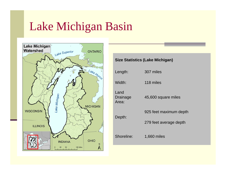## Lake Michigan Basin



#### **Size Statistics (Lake Michigan)**

| Length:                   | 307 miles              |
|---------------------------|------------------------|
| Width:                    | 118 miles              |
| Land<br>Drainage<br>Area: | 45,600 square miles    |
| Depth:                    | 925 feet maximum depth |
|                           | 279 feet average depth |
| Shoreline:                | 1,660 miles            |
|                           |                        |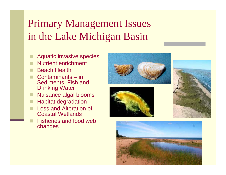## Primary Management Issues in the Lake Michigan Basin

- r. Aquatic invasive species
- r. Nutrient enrichment
- r. Beach Health
- r. ■ Contaminants – in Sediments, Fish and Drinking Water
- Nuisance algal blooms
- Habitat degradation
- Loss and Alteration of Coastal Wetlands
	- Fisheries and food web changes







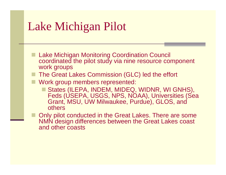## Lake Michigan Pilot

- **Lake Michigan Monitoring Coordination Council** coordinated the pilot study via nine resource component work groups
- $\blacksquare$  The Great Lakes Commission (GLC) led the effort
- **Nork group members represented:** 
	- States (ILEPA, INDEM, MIDEQ, WIDNR, WI GNHS), Feds ( USEPA, USGS, NPS, NOAA), Universities (Sea Grant, MSU, UW Milwaukee, Purdue), GLOS, and others
- Only pilot conducted in the Great Lakes. There are some NMN design differences between the Great Lakes coast and other coasts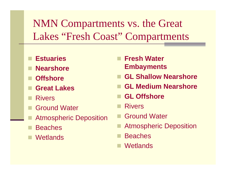## NMN Compartments vs. the Great Lakes "Fresh Coast" Compartments

- **Estuaries**
- **Nearshore**
- **Offshore**
- **Great Lakes**
- Rivers
- Ground Water
- Atmospheric Deposition
- **Beaches**
- **Wetlands**
- **Fresh Water Embayments**
- **GL Shallow Nearshore**
- **GL Medium Nearshore**
- **GL Offshore**
- Rivers
- Ground Water
- Atmospheric Deposition
- **Beaches**
- **Wetlands**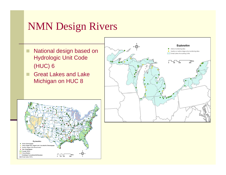### NMN Design Rivers

- $\blacksquare$  National design based on Hydrologic Unit Code (HUC) 6
- п Great Lakes and Lake Michigan on HUC 8



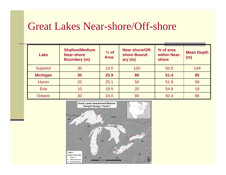### Great Lakes Near-shore/Off-shore

| Lake            | <b>Shallow/Medium</b><br><b>Near-shore</b><br><b>Boundary (m)</b> | $%$ of<br><b>Area</b> | <b>Near shore/Off-</b><br>shore Bound-<br>ary(m) | % of area<br>within Near-<br>shore | <b>Mean Depth</b><br>(m) |
|-----------------|-------------------------------------------------------------------|-----------------------|--------------------------------------------------|------------------------------------|--------------------------|
| <b>Superior</b> | 30                                                                | 10.0                  | 150                                              | 50.0                               | 149                      |
| <b>Michigan</b> | 30                                                                | 25.9                  | 80                                               | 51.4                               | 85                       |
| <b>Huron</b>    | 20                                                                | 25.1                  | 50                                               | 51.9                               | 59                       |
| <b>Erie</b>     | 10                                                                | 19.5                  | 20                                               | 54.8                               | 19                       |
| Ontario         | 30                                                                | 24.0                  | 80                                               | 50.4                               | 86                       |

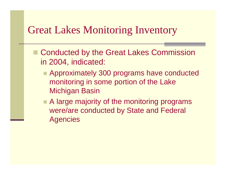### Great Lakes Monitoring Inventory

- Conducted by the Great Lakes Commission in 2004, indicated:
	- **E** Approximately 300 programs have conducted monitoring in some portion of the Lake Michigan Basin
	- A large majority of the monitoring programs were/are conducted by State and Federal **Agencies**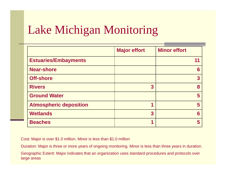## Lake Michigan Monitoring

|                               | <b>Major effort</b> | <b>Minor effort</b> |
|-------------------------------|---------------------|---------------------|
| <b>Estuaries/Embayments</b>   |                     | 11                  |
| <b>Near-shore</b>             |                     | 6                   |
| <b>Off-shore</b>              |                     | 3                   |
| <b>Rivers</b>                 | 3                   | 8                   |
| <b>Ground Water</b>           |                     | 5                   |
| <b>Atmospheric deposition</b> |                     | 5                   |
| <b>Wetlands</b>               | 3                   | 6                   |
| <b>Beaches</b>                |                     | 5                   |

Cost: Major is over \$1.0 million. Minor is less than \$1.0 million

Duration: Major is three or more years of ongoing monitoring. Minor is less than three years in duration.

Geographic Extent: Major indicates that an organization uses standard procedures and protocols over large areas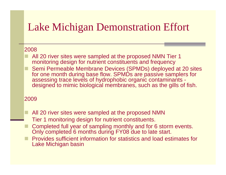## Lake Michigan Demonstration Effort

#### 2008

- All 20 river sites were sampled at the proposed NMN Tier 1 monitoring design for nutrient constituents and frequency
- Semi Permeable Membrane Devices (SPMDs) deployed at 20 sites for one month during base flow. SPMDs are passive samplers for assessing trace levels of hydrophobic organic contaminants designed to mimic biological membranes, such as the gills of fish.

#### 2009

- All 20 river sites were sampled at the proposed NMN Tier 1 monitoring design for nutrient constituents.
- Completed full year of sampling monthly and for 6 storm events. Only completed 6 months during FY08 due to late start.
- **Provides sufficient information for statistics and load estimates for** Lake Michigan basin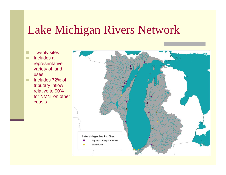## Lake Michigan Rivers Network

- $\mathbf{r}$ ■ Twenty sites
- $\blacksquare$  Includes a representative variety of land uses
- $\blacksquare$  Includes 72% of tributary inflow, relative to 90% for NMN on other coasts

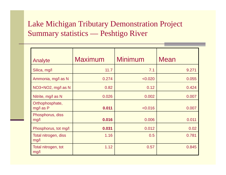#### Lake Michigan Tributary Demonstration Project Summary statistics — — Peshtigo River

| Analyte                      | <b>Maximum</b> | <b>Minimum</b> | <b>Mean</b> |
|------------------------------|----------------|----------------|-------------|
| Silica, mg/l                 | 11.7           | 7.1            | 9.271       |
| Ammonia, mg/l as N           | 0.274          | < 0.020        | 0.055       |
| NO3+NO2, mg/l as N           | 0.82           | 0.12           | 0.424       |
| Nitrite, mg/l as N           | 0.026          | 0.002          | 0.007       |
| Orthophosphate,<br>mg/l as P | 0.011          | < 0.016        | 0.007       |
| Phosphorus, diss<br>mg/l     | 0.016          | 0.006          | 0.011       |
| Phosphorus, tot mg/l         | 0.031          | 0.012          | 0.02        |
| Total nitrogen, diss<br>mg/l | 1.16           | 0.5            | 0.781       |
| Total nitrogen, tot<br>mg/l  | 1.12           | 0.57           | 0.845       |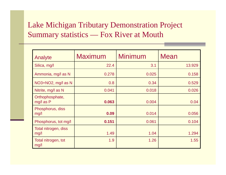### Lake Michigan Tributary Demonstration Project Summary statistics — Fox River at Mouth

| Analyte                      | <b>Maximum</b> | <b>Minimum</b> | <b>Mean</b> |
|------------------------------|----------------|----------------|-------------|
| Silica, mg/l                 | 22.4           | 3.1            | 13.929      |
| Ammonia, mg/l as N           | 0.278          | 0.025          | 0.158       |
| NO3+NO2, mg/l as N           | 0.8            | 0.34           | 0.529       |
| Nitrite, mg/l as N           | 0.041          | 0.018          | 0.026       |
| Orthophosphate,<br>mg/l as P | 0.063          | 0.004          | 0.04        |
| Phosphorus, diss<br>mg/l     | 0.09           | 0.014          | 0.056       |
| Phosphorus, tot mg/l         | 0.151          | 0.061          | 0.104       |
| Total nitrogen, diss<br>mg/l | 1.49           | 1.04           | 1.294       |
| Total nitrogen, tot<br>mg/l  | 1.9            | 1.26           | 1.55        |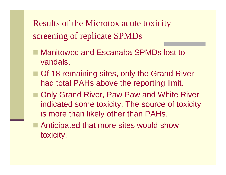Results of the Microtox acute toxicity screenin g of replicate SPMDs

- Manitowoc and Escanaba SPMDs lost to vandals.
- Of 18 remaining sites, only the Grand River had total PAHs above the reporting limit.
- Only Grand River, Paw Paw and White River indicated some toxicity. The source of toxicity is more than likely other than PAHs.
- Anticipated that more sites would show toxicity.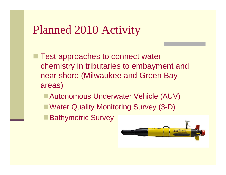## Planned 2010 Activity

- $\blacksquare$  Test approaches to connect water chemistry in tributaries to embayment and near shore (Milwaukee and Green Bay areas)
	- Autonomous Underwater Vehicle (AUV)
	- Water Quality Monitoring Survey (3-D)
	- **Bathymetric Survey**

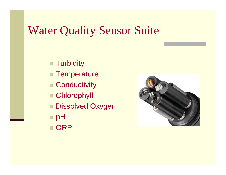## Water Quality Sensor Suite

- **Turbidity**
- Temperature
- Conductivity
- $\blacksquare$  Chlorophyll
- Dissolved Oxygen
- **∎ pH**
- **ORP**

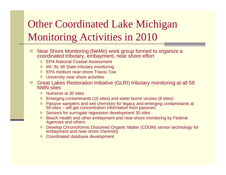## Other Coordinated Lake Michigan Monitoring Activities in 2010

- F. Near Shore Monitoring (NeMo) work group formed to organize a coordinated tributary, embayment, near shore effort
	- EPA National Coastal Assessment
	- **WI, IN, MI State tributary monitoring**
	- **EPA medium near-shore Triaxis Tow**
	- $\blacksquare$  University near shore activities
- Great Lakes Restoration Initiative (GLRI) tributary monitoring at all 59 NMN sites
	- **Nutrients at 30 sites**
	- Emerging contaminants (15 sites) and water borne viruses (8 sites)
	- **Passive samplers and wet chemistry for legacy and emerging contaminants at** 59 sites – will get concentration information from passives
	- Sensors for surrogate regression development 30 sites
	- Beach Health and other embayment and near-shore monitoring by Federal Agencies and others
	- Develop Chromoformic Dissolved Organic Matter (CDOM) sensor technology for embayment and near-shore chemistry
	- **E** Coordinated database development